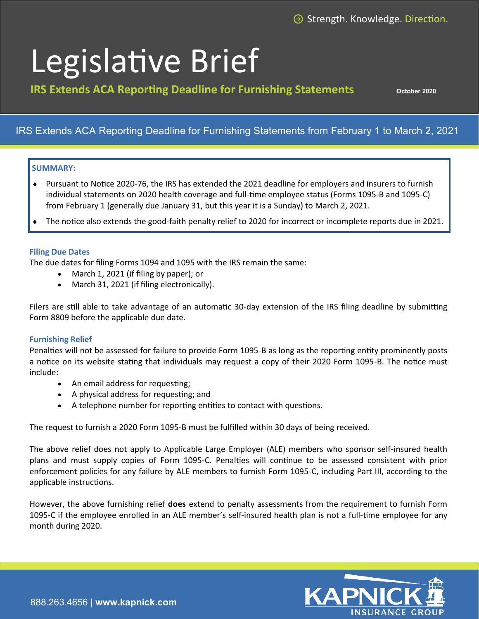# Legislative Brief

**IRS Extends ACA Reporting Deadline for Furnishing Statements Dectober 2020** 

## IRS Extends ACA Reporting Deadline for Furnishing Statements from February 1 to March 2, 2021

### **SUMMARY:**

- Pursuant to Notice 2020-76, the IRS has extended the 2021 deadline for employers and insurers to furnish individual statements on 2020 health coverage and full-time employee status (Forms 1095-B and 1095-C) from February 1 (generally due January 31, but this year it is a Sunday) to March 2, 2021.
- The notice also extends the good-faith penalty relief to 2020 for incorrect or incomplete reports due in 2021.

#### **Filing Due Dates**

The due dates for filing Forms 1094 and 1095 with the IRS remain the same:

- March 1, 2021 (if filing by paper); or
- March 31, 2021 (if filing electronically).

Filers are still able to take advantage of an automatic 30-day extension of the IRS filing deadline by submitting Form 8809 before the applicable due date.

#### **Furnishing Relief**

Penalties will not be assessed for failure to provide Form 1095-B as long as the reporting entity prominently posts a notice on its website stating that individuals may request a copy of their 2020 Form 1095-B. The notice must include:

- An email address for requesting;
- A physical address for requesting; and
- A telephone number for reporting entities to contact with questions.

The request to furnish a 2020 Form 1095-B must be fulfilled within 30 days of being received.

The above relief does not apply to Applicable Large Employer (ALE) members who sponsor self-insured health plans and must supply copies of Form 1095-C. Penalties will continue to be assessed consistent with prior enforcement policies for any failure by ALE members to furnish Form 1095-C, including Part III, according to the applicable instructions.

However, the above furnishing relief **does** extend to penalty assessments from the requirement to furnish Form 1095-C if the employee enrolled in an ALE member's self-insured health plan is not a full-time employee for any month during 2020.